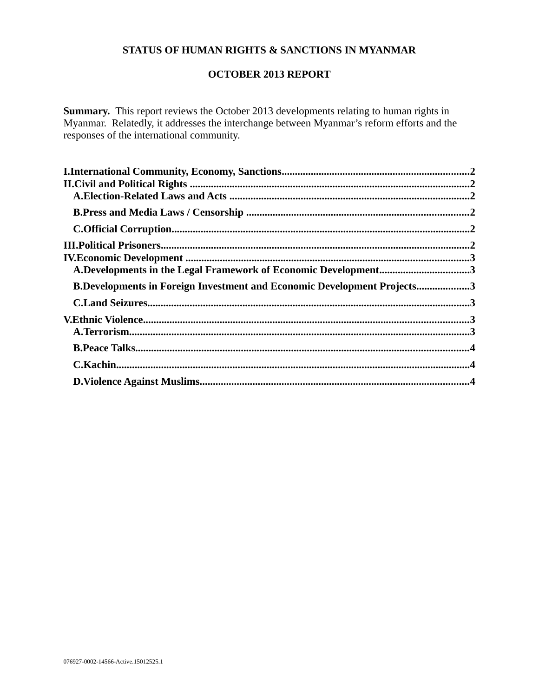### **STATUS OF HUMAN RIGHTS & SANCTIONS IN MYANMAR**

### **OCTOBER 2013 REPORT**

**Summary.** This report reviews the October 2013 developments relating to human rights in Myanmar. Relatedly, it addresses the interchange between Myanmar's reform efforts and the responses of the international community.

| A.Developments in the Legal Framework of Economic Development3                 |  |
|--------------------------------------------------------------------------------|--|
| <b>B.Developments in Foreign Investment and Economic Development Projects3</b> |  |
|                                                                                |  |
|                                                                                |  |
|                                                                                |  |
|                                                                                |  |
|                                                                                |  |
|                                                                                |  |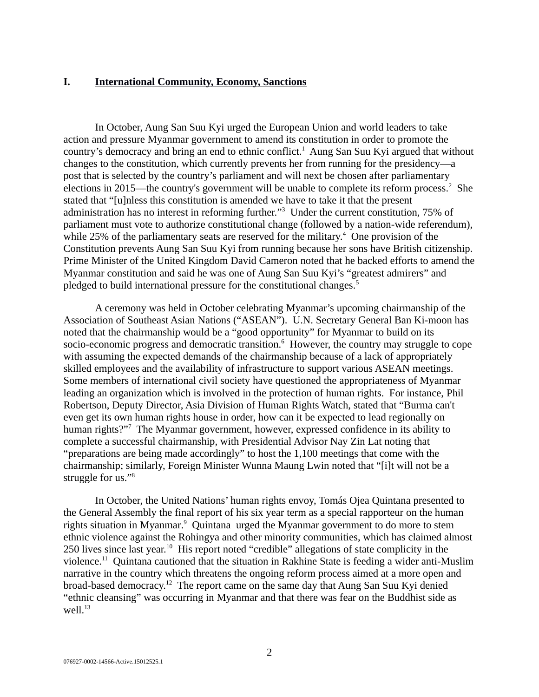#### <span id="page-1-0"></span>**I. International Community, Economy, Sanctions**

In October, Aung San Suu Kyi urged the European Union and world leaders to take action and pressure Myanmar government to amend its constitution in order to promote the country's democracy and bring an end to ethnic conflict.<sup>1</sup> Aung San Suu Kyi argued that without changes to the constitution, which currently prevents her from running for the presidency—a post that is selected by the country's parliament and will next be chosen after parliamentary elections in 2015—the country's government will be unable to complete its reform process.<sup>2</sup> She stated that "[u]nless this constitution is amended we have to take it that the present administration has no interest in reforming further."<sup>3</sup> Under the current constitution, 75% of parliament must vote to authorize constitutional change (followed by a nation-wide referendum), while 25% of the parliamentary seats are reserved for the military.<sup>4</sup> One provision of the Constitution prevents Aung San Suu Kyi from running because her sons have British citizenship. Prime Minister of the United Kingdom David Cameron noted that he backed efforts to amend the Myanmar constitution and said he was one of Aung San Suu Kyi's "greatest admirers" and pledged to build international pressure for the constitutional changes.<sup>5</sup>

A ceremony was held in October celebrating Myanmar's upcoming chairmanship of the Association of Southeast Asian Nations ("ASEAN"). U.N. Secretary General Ban Ki-moon has noted that the chairmanship would be a "good opportunity" for Myanmar to build on its socio-economic progress and democratic transition.<sup>6</sup> However, the country may struggle to cope with assuming the expected demands of the chairmanship because of a lack of appropriately skilled employees and the availability of infrastructure to support various ASEAN meetings. Some members of international civil society have questioned the appropriateness of Myanmar leading an organization which is involved in the protection of human rights. For instance, Phil Robertson, Deputy Director, Asia Division of Human Rights Watch, stated that "Burma can't even get its own human rights house in order, how can it be expected to lead regionally on human rights?"<sup>7</sup> The Myanmar government, however, expressed confidence in its ability to complete a successful chairmanship, with Presidential Advisor Nay Zin Lat noting that "preparations are being made accordingly" to host the 1,100 meetings that come with the chairmanship; similarly, Foreign Minister Wunna Maung Lwin noted that "[i]t will not be a struggle for us."<sup>8</sup>

In October, the United Nations' human rights envoy, Tomás Ojea Quintana presented to the General Assembly the final report of his six year term as a special rapporteur on the human rights situation in Myanmar.<sup>9</sup> Quintana urged the Myanmar government to do more to stem ethnic violence against the Rohingya and other minority communities, which has claimed almost 250 lives since last year.<sup>10</sup> His report noted "credible" allegations of state complicity in the violence.<sup>11</sup> Quintana cautioned that the situation in Rakhine State is feeding a wider anti-Muslim narrative in the country which threatens the ongoing reform process aimed at a more open and broad-based democracy.<sup>12</sup> The report came on the same day that Aung San Suu Kyi denied "ethnic cleansing" was occurring in Myanmar and that there was fear on the Buddhist side as  $well.<sup>13</sup>$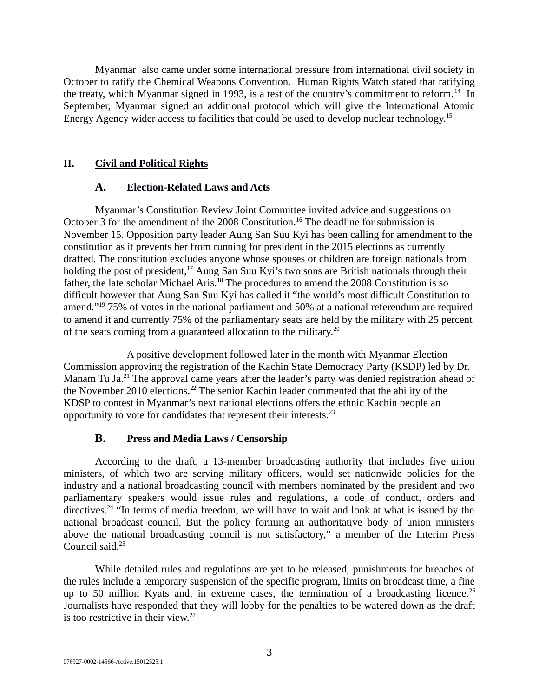Myanmar also came under some international pressure from international civil society in October to ratify the Chemical Weapons Convention. Human Rights Watch stated that ratifying the treaty, which Myanmar signed in 1993, is a test of the country's commitment to reform.<sup>14</sup> In September, Myanmar signed an additional protocol which will give the International Atomic Energy Agency wider access to facilities that could be used to develop nuclear technology.<sup>15</sup>

# **II. Civil and Political Rights**

# <span id="page-2-2"></span><span id="page-2-1"></span>**A. Election-Related Laws and Acts**

Myanmar's Constitution Review Joint Committee invited advice and suggestions on October 3 for the amendment of the 2008 Constitution.<sup>16</sup> The deadline for submission is November 15. Opposition party leader Aung San Suu Kyi has been calling for amendment to the constitution as it prevents her from running for president in the 2015 elections as currently drafted. The constitution excludes anyone whose spouses or children are foreign nationals from holding the post of president,<sup>17</sup> Aung San Suu Kyi's two sons are British nationals through their father, the late scholar Michael Aris.<sup>18</sup> The procedures to amend the 2008 Constitution is so difficult however that Aung San Suu Kyi has called it "the world's most difficult Constitution to amend."<sup>19</sup> 75% of votes in the national parliament and 50% at a national referendum are required to amend it and currently 75% of the parliamentary seats are held by the military with 25 percent of the seats coming from a guaranteed allocation to the military. $20$ 

A positive development followed later in the month with Myanmar Election Commission approving the registration of the Kachin State Democracy Party (KSDP) led by Dr. Manam Tu Ja.<sup>21</sup> The approval came years after the leader's party was denied registration ahead of the November 2010 elections.<sup>22</sup> The senior Kachin leader commented that the ability of the KDSP to contest in Myanmar's next national elections offers the ethnic Kachin people an opportunity to vote for candidates that represent their interests.<sup>23</sup>

# <span id="page-2-0"></span>**B. Press and Media Laws / Censorship**

According to the draft, a 13-member broadcasting authority that includes five union ministers, of which two are serving military officers, would set nationwide policies for the industry and a national broadcasting council with members nominated by the president and two parliamentary speakers would issue rules and regulations, a code of conduct, orders and directives.<sup>24</sup> "In terms of media freedom, we will have to wait and look at what is issued by the national broadcast council. But the policy forming an authoritative body of union ministers above the national broadcasting council is not satisfactory," a member of the Interim Press Council said.<sup>25</sup>

While detailed rules and regulations are yet to be released, punishments for breaches of the rules include a temporary suspension of the specific program, limits on broadcast time, a fine up to 50 million Kyats and, in extreme cases, the termination of a broadcasting licence.<sup>26</sup> Journalists have responded that they will lobby for the penalties to be watered down as the draft is too restrictive in their view. $27$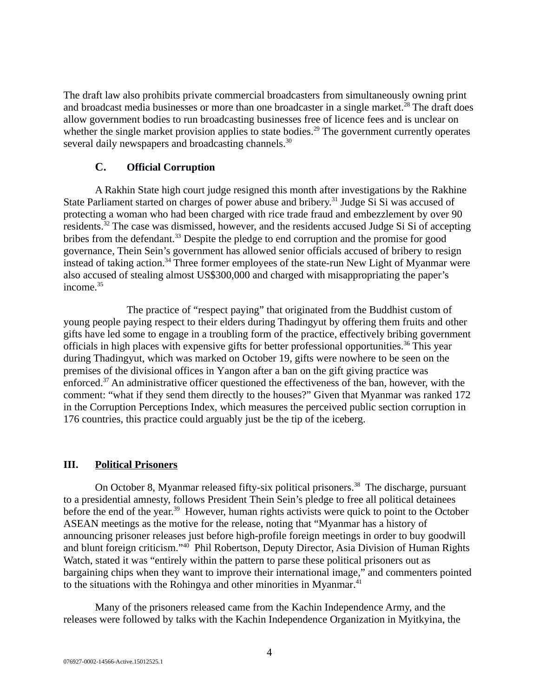The draft law also prohibits private commercial broadcasters from simultaneously owning print and broadcast media businesses or more than one broadcaster in a single market.<sup>28</sup> The draft does allow government bodies to run broadcasting businesses free of licence fees and is unclear on whether the single market provision applies to state bodies.<sup>29</sup> The government currently operates several daily newspapers and broadcasting channels.<sup>30</sup>

### <span id="page-3-1"></span>**C. Official Corruption**

A Rakhin State high court judge resigned this month after investigations by the Rakhine State Parliament started on charges of power abuse and bribery.<sup>31</sup> Judge Si Si was accused of protecting a woman who had been charged with rice trade fraud and embezzlement by over 90 residents.<sup>32</sup> The case was dismissed, however, and the residents accused Judge Si Si of accepting bribes from the defendant.<sup>33</sup> Despite the pledge to end corruption and the promise for good governance, Thein Sein's government has allowed senior officials accused of bribery to resign instead of taking action.<sup>34</sup> Three former employees of the state-run New Light of Myanmar were also accused of stealing almost US\$300,000 and charged with misappropriating the paper's income.<sup>35</sup>

The practice of "respect paying" that originated from the Buddhist custom of young people paying respect to their elders during Thadingyut by offering them fruits and other gifts have led some to engage in a troubling form of the practice, effectively bribing government officials in high places with expensive gifts for better professional opportunities.<sup>36</sup> This year during Thadingyut, which was marked on October 19, gifts were nowhere to be seen on the premises of the divisional offices in Yangon after a ban on the gift giving practice was enforced.<sup>37</sup> An administrative officer questioned the effectiveness of the ban, however, with the comment: "what if they send them directly to the houses?" Given that Myanmar was ranked 172 in the Corruption Perceptions Index, which measures the perceived public section corruption in 176 countries, this practice could arguably just be the tip of the iceberg.

### <span id="page-3-0"></span>**III. Political Prisoners**

On October 8, Myanmar released fifty-six political prisoners.<sup>38</sup> The discharge, pursuant to a presidential amnesty, follows President Thein Sein's pledge to free all political detainees before the end of the year.<sup>39</sup> However, human rights activists were quick to point to the October ASEAN meetings as the motive for the release, noting that "Myanmar has a history of announcing prisoner releases just before high-profile foreign meetings in order to buy goodwill and blunt foreign criticism."<sup>40</sup> Phil Robertson, Deputy Director, Asia Division of Human Rights Watch, stated it was "entirely within the pattern to parse these political prisoners out as bargaining chips when they want to improve their international image," and commenters pointed to the situations with the Rohingya and other minorities in Myanmar.<sup>41</sup>

Many of the prisoners released came from the Kachin Independence Army, and the releases were followed by talks with the Kachin Independence Organization in Myitkyina, the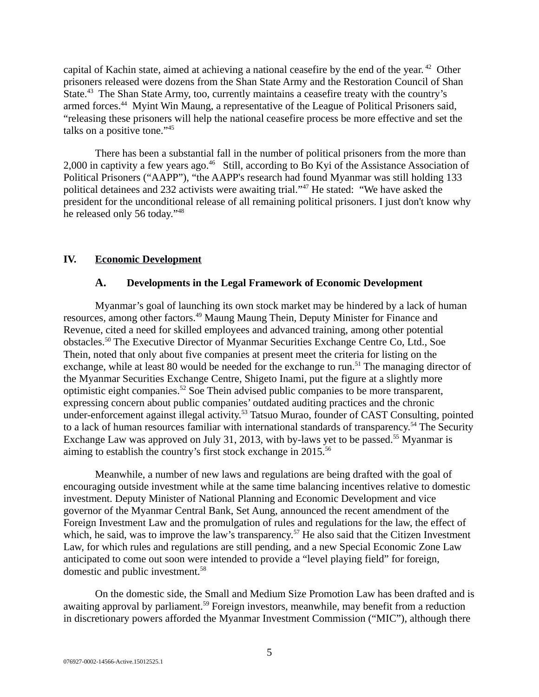capital of Kachin state, aimed at achieving a national ceasefire by the end of the year. <sup>42</sup> Other prisoners released were dozens from the Shan State Army and the Restoration Council of Shan State.<sup>43</sup> The Shan State Army, too, currently maintains a ceasefire treaty with the country's armed forces.<sup>44</sup> Myint Win Maung, a representative of the League of Political Prisoners said, "releasing these prisoners will help the national ceasefire process be more effective and set the talks on a positive tone."<sup>45</sup>

There has been a substantial fall in the number of political prisoners from the more than 2,000 in captivity a few years ago.<sup>46</sup> Still, according to Bo Kyi of the Assistance Association of Political Prisoners ("AAPP"), "the AAPP's research had found Myanmar was still holding 133 political detainees and 232 activists were awaiting trial."<sup>47</sup> He stated: "We have asked the president for the unconditional release of all remaining political prisoners. I just don't know why he released only 56 today."<sup>48</sup>

#### **IV. Economic Development**

#### <span id="page-4-1"></span><span id="page-4-0"></span>**A. Developments in the Legal Framework of Economic Development**

Myanmar's goal of launching its own stock market may be hindered by a lack of human resources, among other factors.<sup>49</sup> Maung Maung Thein, Deputy Minister for Finance and Revenue, cited a need for skilled employees and advanced training, among other potential obstacles.<sup>50</sup> The Executive Director of Myanmar Securities Exchange Centre Co, Ltd., Soe Thein, noted that only about five companies at present meet the criteria for listing on the exchange, while at least 80 would be needed for the exchange to run.<sup>51</sup> The managing director of the Myanmar Securities Exchange Centre, Shigeto Inami, put the figure at a slightly more optimistic eight companies.<sup>52</sup> Soe Thein advised public companies to be more transparent, expressing concern about public companies' outdated auditing practices and the chronic under-enforcement against illegal activity.<sup>53</sup> Tatsuo Murao, founder of CAST Consulting, pointed to a lack of human resources familiar with international standards of transparency.<sup>54</sup> The Security Exchange Law was approved on July 31, 2013, with by-laws yet to be passed.<sup>55</sup> Myanmar is aiming to establish the country's first stock exchange in  $2015$ <sup>56</sup>

Meanwhile, a number of new laws and regulations are being drafted with the goal of encouraging outside investment while at the same time balancing incentives relative to domestic investment. Deputy Minister of National Planning and Economic Development and vice governor of the Myanmar Central Bank, Set Aung, announced the recent amendment of the Foreign Investment Law and the promulgation of rules and regulations for the law, the effect of which, he said, was to improve the law's transparency.<sup>57</sup> He also said that the Citizen Investment Law, for which rules and regulations are still pending, and a new Special Economic Zone Law anticipated to come out soon were intended to provide a "level playing field" for foreign, domestic and public investment.<sup>58</sup>

On the domestic side, the Small and Medium Size Promotion Law has been drafted and is awaiting approval by parliament.<sup>59</sup> Foreign investors, meanwhile, may benefit from a reduction in discretionary powers afforded the Myanmar Investment Commission ("MIC"), although there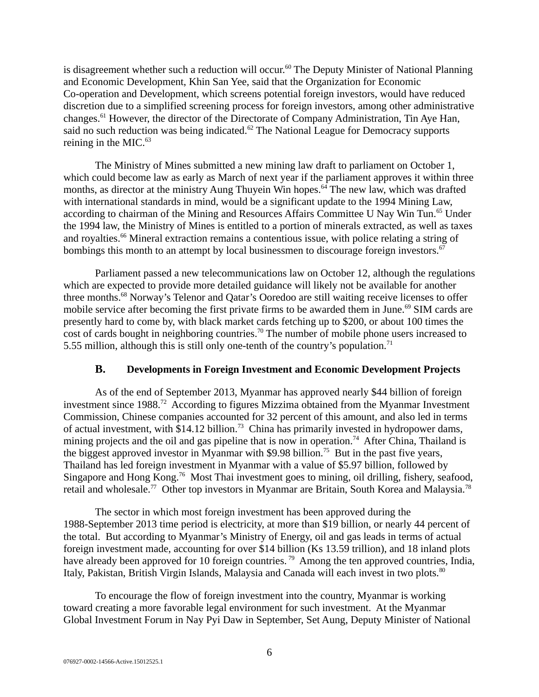is disagreement whether such a reduction will occur.<sup>60</sup> The Deputy Minister of National Planning and Economic Development, Khin San Yee, said that the Organization for Economic Co-operation and Development, which screens potential foreign investors, would have reduced discretion due to a simplified screening process for foreign investors, among other administrative changes.<sup>61</sup> However, the director of the Directorate of Company Administration, Tin Aye Han, said no such reduction was being indicated.<sup>62</sup> The National League for Democracy supports reining in the MIC. $<sup>63</sup>$ </sup>

The Ministry of Mines submitted a new mining law draft to parliament on October 1, which could become law as early as March of next year if the parliament approves it within three months, as director at the ministry Aung Thuyein Win hopes.<sup>64</sup> The new law, which was drafted with international standards in mind, would be a significant update to the 1994 Mining Law, according to chairman of the Mining and Resources Affairs Committee U Nay Win Tun.<sup>65</sup> Under the 1994 law, the Ministry of Mines is entitled to a portion of minerals extracted, as well as taxes and royalties.<sup>66</sup> Mineral extraction remains a contentious issue, with police relating a string of bombings this month to an attempt by local businessmen to discourage foreign investors. $67$ 

Parliament passed a new telecommunications law on October 12, although the regulations which are expected to provide more detailed guidance will likely not be available for another three months.<sup>68</sup> Norway's Telenor and Qatar's Ooredoo are still waiting receive licenses to offer mobile service after becoming the first private firms to be awarded them in June.<sup>69</sup> SIM cards are presently hard to come by, with black market cards fetching up to \$200, or about 100 times the cost of cards bought in neighboring countries.<sup>70</sup> The number of mobile phone users increased to 5.55 million, although this is still only one-tenth of the country's population.<sup>71</sup>

### <span id="page-5-0"></span>**B. Developments in Foreign Investment and Economic Development Projects**

As of the end of September 2013, Myanmar has approved nearly \$44 billion of foreign investment since 1988.<sup>72</sup> According to figures Mizzima obtained from the Myanmar Investment Commission, Chinese companies accounted for 32 percent of this amount, and also led in terms of actual investment, with \$14.12 billion.<sup>73</sup> China has primarily invested in hydropower dams, mining projects and the oil and gas pipeline that is now in operation.<sup>74</sup> After China, Thailand is the biggest approved investor in Myanmar with \$9.98 billion.<sup>75</sup> But in the past five years, Thailand has led foreign investment in Myanmar with a value of \$5.97 billion, followed by Singapore and Hong Kong.<sup>76</sup> Most Thai investment goes to mining, oil drilling, fishery, seafood, retail and wholesale.<sup>77</sup> Other top investors in Myanmar are Britain, South Korea and Malaysia.<sup>78</sup>

The sector in which most foreign investment has been approved during the 1988-September 2013 time period is electricity, at more than \$19 billion, or nearly 44 percent of the total. But according to Myanmar's Ministry of Energy, oil and gas leads in terms of actual foreign investment made, accounting for over \$14 billion (Ks 13.59 trillion), and 18 inland plots have already been approved for 10 foreign countries.<sup>79</sup> Among the ten approved countries, India, Italy, Pakistan, British Virgin Islands, Malaysia and Canada will each invest in two plots.<sup>80</sup>

To encourage the flow of foreign investment into the country, Myanmar is working toward creating a more favorable legal environment for such investment. At the Myanmar Global Investment Forum in Nay Pyi Daw in September, Set Aung, Deputy Minister of National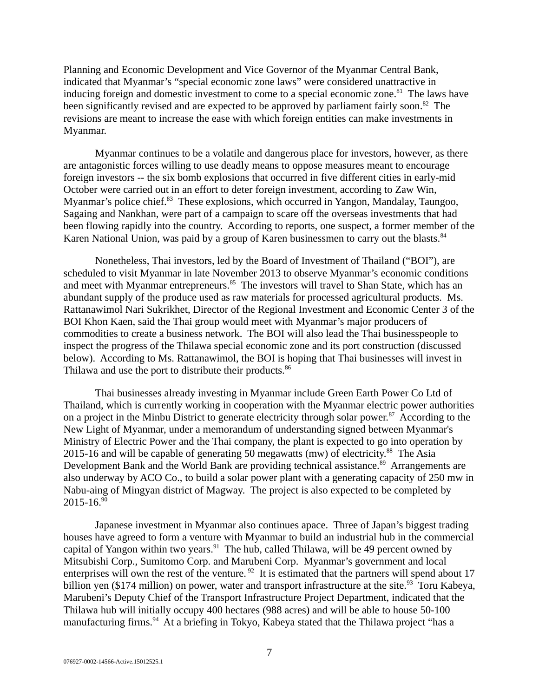Planning and Economic Development and Vice Governor of the Myanmar Central Bank, indicated that Myanmar's "special economic zone laws" were considered unattractive in inducing foreign and domestic investment to come to a special economic zone.<sup>81</sup> The laws have been significantly revised and are expected to be approved by parliament fairly soon.<sup>82</sup> The revisions are meant to increase the ease with which foreign entities can make investments in Myanmar.

Myanmar continues to be a volatile and dangerous place for investors, however, as there are antagonistic forces willing to use deadly means to oppose measures meant to encourage foreign investors -- the six bomb explosions that occurred in five different cities in early-mid October were carried out in an effort to deter foreign investment, according to Zaw Win, Myanmar's police chief.<sup>83</sup> These explosions, which occurred in Yangon, Mandalay, Taungoo, Sagaing and Nankhan, were part of a campaign to scare off the overseas investments that had been flowing rapidly into the country. According to reports, one suspect, a former member of the Karen National Union, was paid by a group of Karen businessmen to carry out the blasts.<sup>84</sup>

Nonetheless, Thai investors, led by the Board of Investment of Thailand ("BOI"), are scheduled to visit Myanmar in late November 2013 to observe Myanmar's economic conditions and meet with Myanmar entrepreneurs.<sup>85</sup> The investors will travel to Shan State, which has an abundant supply of the produce used as raw materials for processed agricultural products. Ms. Rattanawimol Nari Sukrikhet, Director of the Regional Investment and Economic Center 3 of the BOI Khon Kaen, said the Thai group would meet with Myanmar's major producers of commodities to create a business network. The BOI will also lead the Thai businesspeople to inspect the progress of the Thilawa special economic zone and its port construction (discussed below). According to Ms. Rattanawimol, the BOI is hoping that Thai businesses will invest in Thilawa and use the port to distribute their products.<sup>86</sup>

Thai businesses already investing in Myanmar include Green Earth Power Co Ltd of Thailand, which is currently working in cooperation with the Myanmar electric power authorities on a project in the Minbu District to generate electricity through solar power.<sup>87</sup> According to the New Light of Myanmar, under a memorandum of understanding signed between Myanmar's Ministry of Electric Power and the Thai company, the plant is expected to go into operation by 2015-16 and will be capable of generating 50 megawatts (mw) of electricity.<sup>88</sup> The Asia Development Bank and the World Bank are providing technical assistance.<sup>89</sup> Arrangements are also underway by ACO Co., to build a solar power plant with a generating capacity of 250 mw in Nabu-aing of Mingyan district of Magway. The project is also expected to be completed by 2015-16.<sup>90</sup>

Japanese investment in Myanmar also continues apace. Three of Japan's biggest trading houses have agreed to form a venture with Myanmar to build an industrial hub in the commercial capital of Yangon within two years. $91$  The hub, called Thilawa, will be 49 percent owned by Mitsubishi Corp., Sumitomo Corp. and Marubeni Corp. Myanmar's government and local enterprises will own the rest of the venture.  $92$  It is estimated that the partners will spend about 17 billion yen (\$174 million) on power, water and transport infrastructure at the site.<sup>93</sup> Toru Kabeya, Marubeni's Deputy Chief of the Transport Infrastructure Project Department, indicated that the Thilawa hub will initially occupy 400 hectares (988 acres) and will be able to house 50-100 manufacturing firms.<sup>94</sup> At a briefing in Tokyo, Kabeya stated that the Thilawa project "has a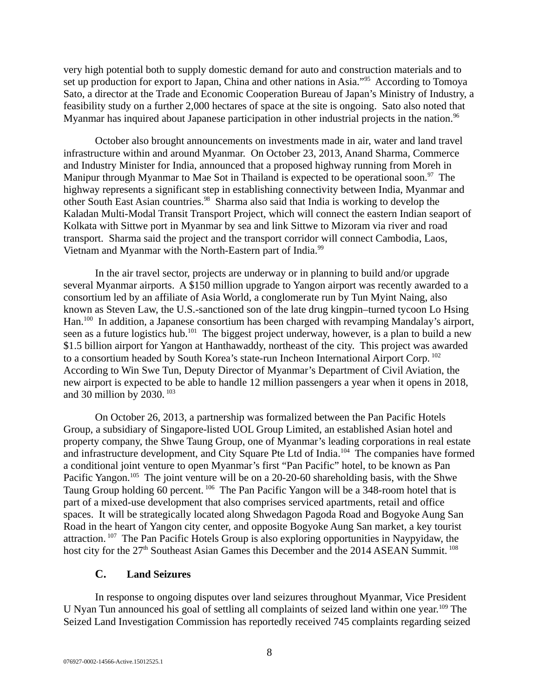very high potential both to supply domestic demand for auto and construction materials and to set up production for export to Japan, China and other nations in Asia."<sup>95</sup> According to Tomoya Sato, a director at the Trade and Economic Cooperation Bureau of Japan's Ministry of Industry, a feasibility study on a further 2,000 hectares of space at the site is ongoing. Sato also noted that Myanmar has inquired about Japanese participation in other industrial projects in the nation. $96$ 

October also brought announcements on investments made in air, water and land travel infrastructure within and around Myanmar. On October 23, 2013, Anand Sharma, Commerce and Industry Minister for India, announced that a proposed highway running from Moreh in Manipur through Myanmar to Mae Sot in Thailand is expected to be operational soon.<sup>97</sup> The highway represents a significant step in establishing connectivity between India, Myanmar and other South East Asian countries.<sup>98</sup> Sharma also said that India is working to develop the Kaladan Multi-Modal Transit Transport Project, which will connect the eastern Indian seaport of Kolkata with Sittwe port in Myanmar by sea and link Sittwe to Mizoram via river and road transport. Sharma said the project and the transport corridor will connect Cambodia, Laos, Vietnam and Myanmar with the North-Eastern part of India. $99$ 

In the air travel sector, projects are underway or in planning to build and/or upgrade several Myanmar airports. A \$150 million upgrade to Yangon airport was recently awarded to a consortium led by an affiliate of Asia World, a conglomerate run by Tun Myint Naing, also known as Steven Law, the U.S.-sanctioned son of the late drug kingpin–turned tycoon Lo Hsing Han.<sup>100</sup> In addition, a Japanese consortium has been charged with revamping Mandalay's airport, seen as a future logistics hub.<sup>101</sup> The biggest project underway, however, is a plan to build a new \$1.5 billion airport for Yangon at Hanthawaddy, northeast of the city. This project was awarded to a consortium headed by South Korea's state-run Incheon International Airport Corp.  $^{102}$ According to Win Swe Tun, Deputy Director of Myanmar's Department of Civil Aviation, the new airport is expected to be able to handle 12 million passengers a year when it opens in 2018, and 30 million by 2030.  $103$ 

On October 26, 2013, a partnership was formalized between the Pan Pacific Hotels Group, a subsidiary of Singapore-listed UOL Group Limited, an established Asian hotel and property company, the Shwe Taung Group, one of Myanmar's leading corporations in real estate and infrastructure development, and City Square Pte Ltd of India.<sup>104</sup> The companies have formed a conditional joint venture to open Myanmar's first "Pan Pacific" hotel, to be known as Pan Pacific Yangon.<sup>105</sup> The joint venture will be on a 20-20-60 shareholding basis, with the Shwe Taung Group holding 60 percent.<sup>106</sup> The Pan Pacific Yangon will be a 348-room hotel that is part of a mixed-use development that also comprises serviced apartments, retail and office spaces. It will be strategically located along Shwedagon Pagoda Road and Bogyoke Aung San Road in the heart of Yangon city center, and opposite Bogyoke Aung San market, a key tourist attraction. <sup>107</sup> The Pan Pacific Hotels Group is also exploring opportunities in Naypyidaw, the host city for the 27<sup>th</sup> Southeast Asian Games this December and the 2014 ASEAN Summit.<sup>108</sup>

# <span id="page-7-0"></span>**C. Land Seizures**

In response to ongoing disputes over land seizures throughout Myanmar, Vice President U Nyan Tun announced his goal of settling all complaints of seized land within one year.<sup>109</sup> The Seized Land Investigation Commission has reportedly received 745 complaints regarding seized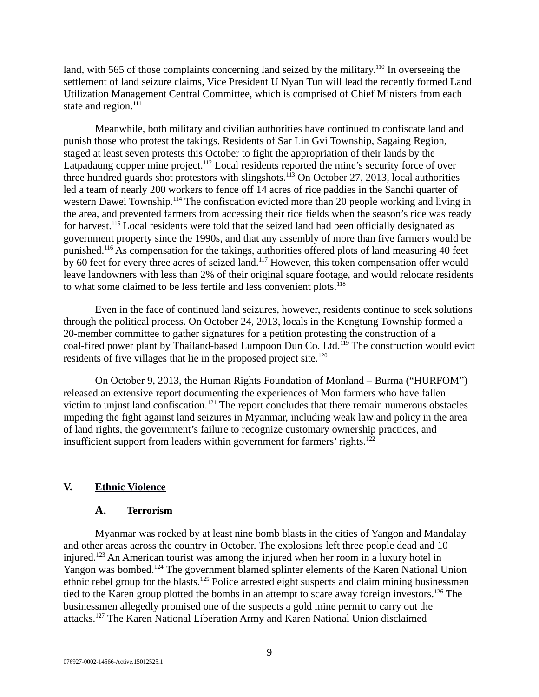land, with 565 of those complaints concerning land seized by the military.<sup>110</sup> In overseeing the settlement of land seizure claims, Vice President U Nyan Tun will lead the recently formed Land Utilization Management Central Committee, which is comprised of Chief Ministers from each state and region.<sup>111</sup>

Meanwhile, both military and civilian authorities have continued to confiscate land and punish those who protest the takings. Residents of Sar Lin Gvi Township, Sagaing Region, staged at least seven protests this October to fight the appropriation of their lands by the Latpadaung copper mine project.<sup>112</sup> Local residents reported the mine's security force of over three hundred guards shot protestors with slingshots.<sup>113</sup> On October 27, 2013, local authorities led a team of nearly 200 workers to fence off 14 acres of rice paddies in the Sanchi quarter of western Dawei Township.<sup>114</sup> The confiscation evicted more than 20 people working and living in the area, and prevented farmers from accessing their rice fields when the season's rice was ready for harvest.<sup>115</sup> Local residents were told that the seized land had been officially designated as government property since the 1990s, and that any assembly of more than five farmers would be punished.<sup>116</sup> As compensation for the takings, authorities offered plots of land measuring 40 feet by 60 feet for every three acres of seized land.<sup>117</sup> However, this token compensation offer would leave landowners with less than 2% of their original square footage, and would relocate residents to what some claimed to be less fertile and less convenient plots.<sup>118</sup>

Even in the face of continued land seizures, however, residents continue to seek solutions through the political process. On October 24, 2013, locals in the Kengtung Township formed a 20-member committee to gather signatures for a petition protesting the construction of a coal-fired power plant by Thailand-based Lumpoon Dun Co. Ltd.<sup>119</sup> The construction would evict residents of five villages that lie in the proposed project site.<sup>120</sup>

On October 9, 2013, the Human Rights Foundation of Monland – Burma ("HURFOM") released an extensive report documenting the experiences of Mon farmers who have fallen victim to unjust land confiscation.<sup>121</sup> The report concludes that there remain numerous obstacles impeding the fight against land seizures in Myanmar, including weak law and policy in the area of land rights, the government's failure to recognize customary ownership practices, and insufficient support from leaders within government for farmers' rights.<sup>122</sup>

#### **V. Ethnic Violence**

### <span id="page-8-1"></span><span id="page-8-0"></span>**A. Terrorism**

Myanmar was rocked by at least nine bomb blasts in the cities of Yangon and Mandalay and other areas across the country in October. The explosions left three people dead and 10 injured.<sup>123</sup> An American tourist was among the injured when her room in a luxury hotel in Yangon was bombed.<sup>124</sup> The government blamed splinter elements of the Karen National Union ethnic rebel group for the blasts.<sup>125</sup> Police arrested eight suspects and claim mining businessmen tied to the Karen group plotted the bombs in an attempt to scare away foreign investors.<sup>126</sup> The businessmen allegedly promised one of the suspects a gold mine permit to carry out the attacks.<sup>127</sup> The Karen National Liberation Army and Karen National Union disclaimed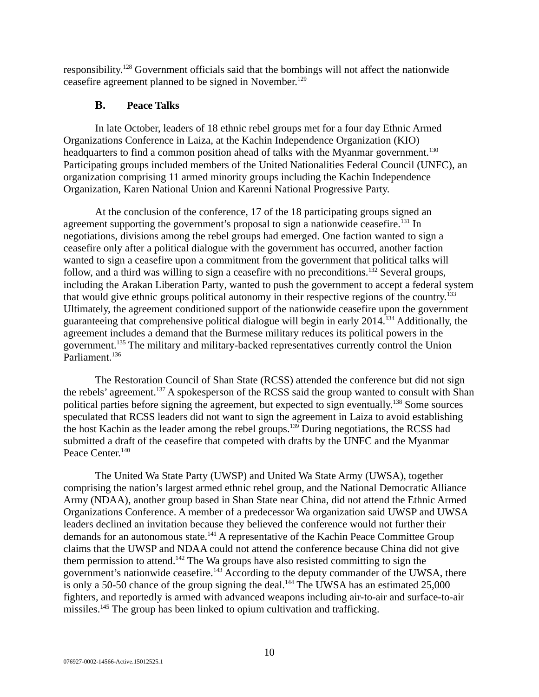responsibility.<sup>128</sup> Government officials said that the bombings will not affect the nationwide ceasefire agreement planned to be signed in November.<sup>129</sup>

### <span id="page-9-0"></span>**B. Peace Talks**

In late October, leaders of 18 ethnic rebel groups met for a four day Ethnic Armed Organizations Conference in Laiza, at the Kachin Independence Organization (KIO) headquarters to find a common position ahead of talks with the Myanmar government.<sup>130</sup> Participating groups included members of the United Nationalities Federal Council (UNFC), an organization comprising 11 armed minority groups including the Kachin Independence Organization, Karen National Union and Karenni National Progressive Party.

At the conclusion of the conference, 17 of the 18 participating groups signed an agreement supporting the government's proposal to sign a nationwide ceasefire.<sup>131</sup> In negotiations, divisions among the rebel groups had emerged. One faction wanted to sign a ceasefire only after a political dialogue with the government has occurred, another faction wanted to sign a ceasefire upon a commitment from the government that political talks will follow, and a third was willing to sign a ceasefire with no preconditions.<sup>132</sup> Several groups, including the Arakan Liberation Party, wanted to push the government to accept a federal system that would give ethnic groups political autonomy in their respective regions of the country.<sup>133</sup> Ultimately, the agreement conditioned support of the nationwide ceasefire upon the government guaranteeing that comprehensive political dialogue will begin in early 2014.<sup>134</sup> Additionally, the agreement includes a demand that the Burmese military reduces its political powers in the government.<sup>135</sup> The military and military-backed representatives currently control the Union Parliament.<sup>136</sup>

The Restoration Council of Shan State (RCSS) attended the conference but did not sign the rebels' agreement.<sup>137</sup> A spokesperson of the RCSS said the group wanted to consult with Shan political parties before signing the agreement, but expected to sign eventually.<sup>138</sup> Some sources speculated that RCSS leaders did not want to sign the agreement in Laiza to avoid establishing the host Kachin as the leader among the rebel groups.<sup>139</sup> During negotiations, the RCSS had submitted a draft of the ceasefire that competed with drafts by the UNFC and the Myanmar Peace Center.<sup>140</sup>

The United Wa State Party (UWSP) and United Wa State Army (UWSA), together comprising the nation's largest armed ethnic rebel group, and the National Democratic Alliance Army (NDAA), another group based in Shan State near China, did not attend the Ethnic Armed Organizations Conference. A member of a predecessor Wa organization said UWSP and UWSA leaders declined an invitation because they believed the conference would not further their demands for an autonomous state.<sup>141</sup> A representative of the Kachin Peace Committee Group claims that the UWSP and NDAA could not attend the conference because China did not give them permission to attend.<sup>142</sup> The Wa groups have also resisted committing to sign the government's nationwide ceasefire.<sup>143</sup> According to the deputy commander of the UWSA, there is only a 50-50 chance of the group signing the deal.<sup>144</sup> The UWSA has an estimated 25,000 fighters, and reportedly is armed with advanced weapons including air-to-air and surface-to-air missiles.<sup>145</sup> The group has been linked to opium cultivation and trafficking.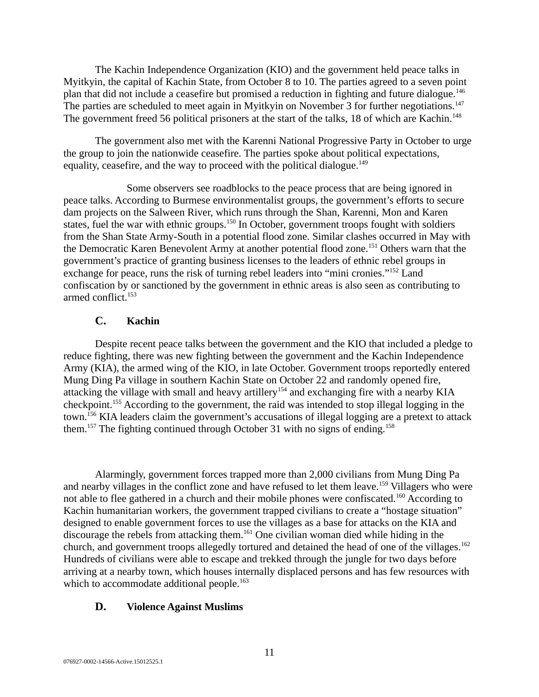The Kachin Independence Organization (KIO) and the government held peace talks in Myitkyin, the capital of Kachin State, from October 8 to 10. The parties agreed to a seven point plan that did not include a ceasefire but promised a reduction in fighting and future dialogue.<sup>146</sup> The parties are scheduled to meet again in Myitkyin on November 3 for further negotiations.<sup>147</sup> The government freed 56 political prisoners at the start of the talks, 18 of which are Kachin.<sup>148</sup>

The government also met with the Karenni National Progressive Party in October to urge the group to join the nationwide ceasefire. The parties spoke about political expectations, equality, ceasefire, and the way to proceed with the political dialogue.<sup>149</sup>

Some observers see roadblocks to the peace process that are being ignored in peace talks. According to Burmese environmentalist groups, the government's efforts to secure dam projects on the Salween River, which runs through the Shan, Karenni, Mon and Karen states, fuel the war with ethnic groups.<sup>150</sup> In October, government troops fought with soldiers from the Shan State Army-South in a potential flood zone. Similar clashes occurred in May with the Democratic Karen Benevolent Army at another potential flood zone.<sup>151</sup> Others warn that the government's practice of granting business licenses to the leaders of ethnic rebel groups in exchange for peace, runs the risk of turning rebel leaders into "mini cronies."<sup>152</sup> Land confiscation by or sanctioned by the government in ethnic areas is also seen as contributing to armed conflict.<sup>153</sup>

# <span id="page-10-1"></span>**C. Kachin**

Despite recent peace talks between the government and the KIO that included a pledge to reduce fighting, there was new fighting between the government and the Kachin Independence Army (KIA), the armed wing of the KIO, in late October. Government troops reportedly entered Mung Ding Pa village in southern Kachin State on October 22 and randomly opened fire, attacking the village with small and heavy artillery<sup>154</sup> and exchanging fire with a nearby KIA checkpoint.<sup>155</sup> According to the government, the raid was intended to stop illegal logging in the town.<sup>156</sup> KIA leaders claim the government's accusations of illegal logging are a pretext to attack them.<sup>157</sup> The fighting continued through October 31 with no signs of ending.<sup>158</sup>

Alarmingly, government forces trapped more than 2,000 civilians from Mung Ding Pa and nearby villages in the conflict zone and have refused to let them leave.<sup>159</sup> Villagers who were not able to flee gathered in a church and their mobile phones were confiscated.<sup>160</sup> According to Kachin humanitarian workers, the government trapped civilians to create a "hostage situation" designed to enable government forces to use the villages as a base for attacks on the KIA and discourage the rebels from attacking them.<sup>161</sup> One civilian woman died while hiding in the church, and government troops allegedly tortured and detained the head of one of the villages.<sup>162</sup> Hundreds of civilians were able to escape and trekked through the jungle for two days before arriving at a nearby town, which houses internally displaced persons and has few resources with which to accommodate additional people.<sup>163</sup>

# <span id="page-10-0"></span>**D. Violence Against Muslims**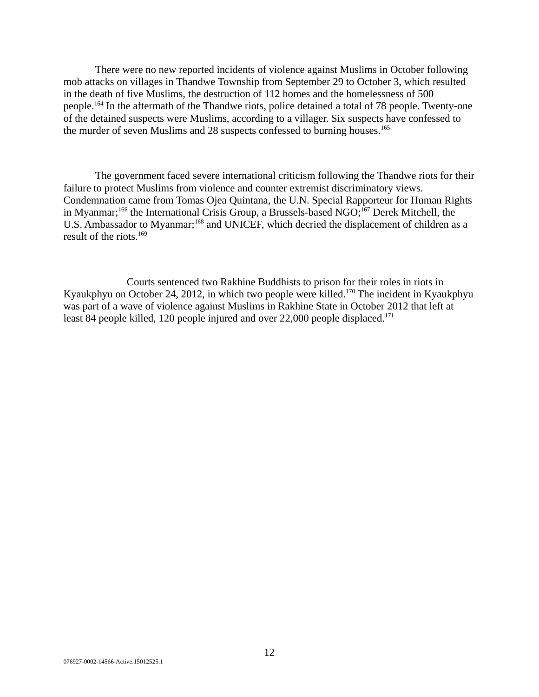There were no new reported incidents of violence against Muslims in October following mob attacks on villages in Thandwe Township from September 29 to October 3, which resulted in the death of five Muslims, the destruction of 112 homes and the homelessness of 500 people.<sup>164</sup> In the aftermath of the Thandwe riots, police detained a total of 78 people. Twenty-one of the detained suspects were Muslims, according to a villager. Six suspects have confessed to the murder of seven Muslims and 28 suspects confessed to burning houses.<sup>165</sup>

The government faced severe international criticism following the Thandwe riots for their failure to protect Muslims from violence and counter extremist discriminatory views. Condemnation came from Tomas Ojea Quintana, the U.N. Special Rapporteur for Human Rights in Myanmar;<sup>166</sup> the International Crisis Group, a Brussels-based NGO;<sup>167</sup> Derek Mitchell, the U.S. Ambassador to Myanmar;<sup>168</sup> and UNICEF, which decried the displacement of children as a result of the riots.<sup>169</sup>

Courts sentenced two Rakhine Buddhists to prison for their roles in riots in Kyaukphyu on October 24, 2012, in which two people were killed.<sup>170</sup> The incident in Kyaukphyu was part of a wave of violence against Muslims in Rakhine State in October 2012 that left at least 84 people killed, 120 people injured and over 22,000 people displaced.<sup>171</sup>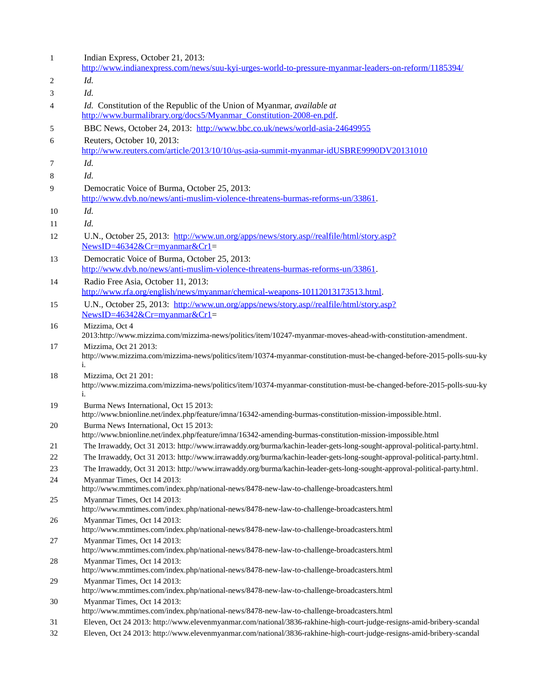| $\mathbf{1}$ | Indian Express, October 21, 2013:<br>http://www.indianexpress.com/news/suu-kyi-urges-world-to-pressure-myanmar-leaders-on-reform/1185394/             |
|--------------|-------------------------------------------------------------------------------------------------------------------------------------------------------|
| 2            | Id.                                                                                                                                                   |
| 3            | Id.                                                                                                                                                   |
| 4            | Id. Constitution of the Republic of the Union of Myanmar, available at<br>http://www.burmalibrary.org/docs5/Myanmar_Constitution-2008-en.pdf.         |
| 5            | BBC News, October 24, 2013: http://www.bbc.co.uk/news/world-asia-24649955                                                                             |
| 6            | Reuters, October 10, 2013:<br>http://www.reuters.com/article/2013/10/10/us-asia-summit-myanmar-idUSBRE9990DV20131010                                  |
| 7            | Id.                                                                                                                                                   |
| 8            | Id.                                                                                                                                                   |
| 9            | Democratic Voice of Burma, October 25, 2013:<br>http://www.dvb.no/news/anti-muslim-violence-threatens-burmas-reforms-un/33861.                        |
| 10           | Id.                                                                                                                                                   |
| 11           | Id.                                                                                                                                                   |
| 12           | U.N., October 25, 2013: http://www.un.org/apps/news/story.asp//realfile/html/story.asp?<br>NewsID=46342&Cr=myanmar&Cr1=                               |
| 13           | Democratic Voice of Burma, October 25, 2013:                                                                                                          |
|              | http://www.dvb.no/news/anti-muslim-violence-threatens-burmas-reforms-un/33861.                                                                        |
| 14           | Radio Free Asia, October 11, 2013:                                                                                                                    |
|              | http://www.rfa.org/english/news/myanmar/chemical-weapons-10112013173513.html.                                                                         |
| 15           | U.N., October 25, 2013: http://www.un.org/apps/news/story.asp//realfile/html/story.asp?<br>NewsID=46342&Cr=myanmar&Cr1=                               |
| 16           | Mizzima, Oct 4<br>2013:http://www.mizzima.com/mizzima-news/politics/item/10247-myanmar-moves-ahead-with-constitution-amendment.                       |
| 17           | Mizzima, Oct 21 2013:<br>http://www.mizzima.com/mizzima-news/politics/item/10374-myanmar-constitution-must-be-changed-before-2015-polls-suu-ky<br>i.  |
| 18           | Mizzima, Oct 21 201:<br>http://www.mizzima.com/mizzima-news/politics/item/10374-myanmar-constitution-must-be-changed-before-2015-polls-suu-ky<br>i.   |
| 19           | Burma News International, Oct 15 2013:<br>http://www.bnionline.net/index.php/feature/imna/16342-amending-burmas-constitution-mission-impossible.html. |
| 20           | Burma News International, Oct 15 2013:<br>http://www.bnionline.net/index.php/feature/imna/16342-amending-burmas-constitution-mission-impossible.html  |
| 21           | The Irrawaddy, Oct 31 2013: http://www.irrawaddy.org/burma/kachin-leader-gets-long-sought-approval-political-party.html.                              |
| 22           | The Irrawaddy, Oct 31 2013: http://www.irrawaddy.org/burma/kachin-leader-gets-long-sought-approval-political-party.html.                              |
| 23           | The Irrawaddy, Oct 31 2013: http://www.irrawaddy.org/burma/kachin-leader-gets-long-sought-approval-political-party.html.                              |
| 24           | Myanmar Times, Oct 14 2013:<br>http://www.mmtimes.com/index.php/national-news/8478-new-law-to-challenge-broadcasters.html                             |
| 25           | Myanmar Times, Oct 14 2013:<br>http://www.mmtimes.com/index.php/national-news/8478-new-law-to-challenge-broadcasters.html                             |
| 26           | Myanmar Times, Oct 14 2013:<br>http://www.mmtimes.com/index.php/national-news/8478-new-law-to-challenge-broadcasters.html                             |
| 27           | Myanmar Times, Oct 14 2013:<br>http://www.mmtimes.com/index.php/national-news/8478-new-law-to-challenge-broadcasters.html                             |
| 28           | Myanmar Times, Oct 14 2013:<br>http://www.mmtimes.com/index.php/national-news/8478-new-law-to-challenge-broadcasters.html                             |
| 29           | Myanmar Times, Oct 14 2013:<br>http://www.mmtimes.com/index.php/national-news/8478-new-law-to-challenge-broadcasters.html                             |
| 30           | Myanmar Times, Oct 14 2013:<br>http://www.mmtimes.com/index.php/national-news/8478-new-law-to-challenge-broadcasters.html                             |
| 31           | Eleven, Oct 24 2013: http://www.elevenmyanmar.com/national/3836-rakhine-high-court-judge-resigns-amid-bribery-scandal                                 |
| 32           | Eleven, Oct 24 2013: http://www.elevenmyanmar.com/national/3836-rakhine-high-court-judge-resigns-amid-bribery-scandal                                 |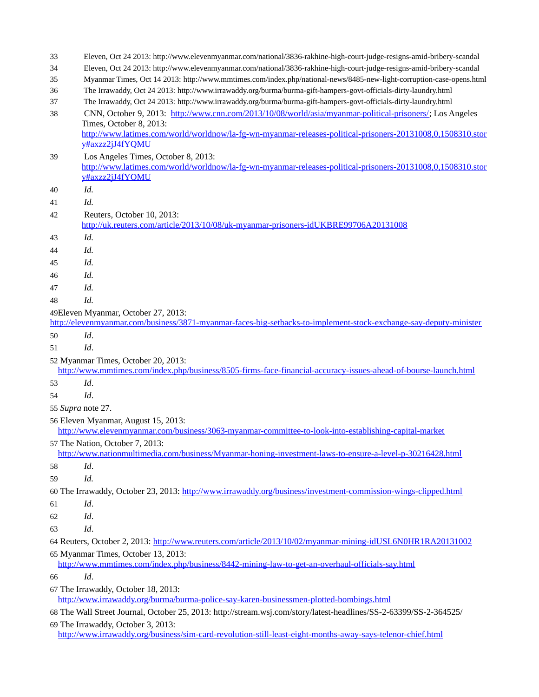| 33 | Eleven, Oct 24 2013: http://www.elevenmyanmar.com/national/3836-rakhine-high-court-judge-resigns-amid-bribery-scandal               |
|----|-------------------------------------------------------------------------------------------------------------------------------------|
| 34 | Eleven, Oct 24 2013: http://www.elevenmyanmar.com/national/3836-rakhine-high-court-judge-resigns-amid-bribery-scandal               |
| 35 | Myanmar Times, Oct 14 2013: http://www.mmtimes.com/index.php/national-news/8485-new-light-corruption-case-opens.html                |
| 36 | The Irrawaddy, Oct 24 2013: http://www.irrawaddy.org/burma/burma-gift-hampers-govt-officials-dirty-laundry.html                     |
| 37 | The Irrawaddy, Oct 24 2013: http://www.irrawaddy.org/burma/burma-gift-hampers-govt-officials-dirty-laundry.html                     |
| 38 | CNN, October 9, 2013: http://www.cnn.com/2013/10/08/world/asia/myanmar-political-prisoners/; Los Angeles<br>Times, October 8, 2013: |
|    | http://www.latimes.com/world/worldnow/la-fg-wn-myanmar-releases-political-prisoners-20131008.0.1508310.stor                         |
|    | y#axzz2jJ4fYQMU                                                                                                                     |
| 39 | Los Angeles Times, October 8, 2013:                                                                                                 |
|    | http://www.latimes.com/world/worldnow/la-fg-wn-myanmar-releases-political-prisoners-20131008.0.1508310.stor<br>y#axzz2jJ4fYQMU      |
| 40 | Id.                                                                                                                                 |
| 41 | Id.                                                                                                                                 |
| 42 | Reuters, October 10, 2013:                                                                                                          |
|    | http://uk.reuters.com/article/2013/10/08/uk-myanmar-prisoners-idUKBRE99706A20131008                                                 |
| 43 | Id.                                                                                                                                 |
| 44 | Id.                                                                                                                                 |
| 45 | Id.                                                                                                                                 |
| 46 | Id.                                                                                                                                 |
| 47 | Id.                                                                                                                                 |
| 48 | Id.                                                                                                                                 |
|    | 49Eleven Myanmar, October 27, 2013:                                                                                                 |
|    | http://elevenmyanmar.com/business/3871-myanmar-faces-big-setbacks-to-implement-stock-exchange-say-deputy-minister                   |
| 50 | Id.                                                                                                                                 |
| 51 | Id.                                                                                                                                 |
|    | 52 Myanmar Times, October 20, 2013:                                                                                                 |
|    | http://www.mmtimes.com/index.php/business/8505-firms-face-financial-accuracy-issues-ahead-of-bourse-launch.html                     |
| 53 | Id.                                                                                                                                 |
| 54 | Id.                                                                                                                                 |
|    | 55 Supra note 27.                                                                                                                   |
|    | 56 Eleven Myanmar, August 15, 2013:                                                                                                 |
|    | http://www.elevenmyanmar.com/business/3063-myanmar-committee-to-look-into-establishing-capital-market                               |
|    | 57 The Nation, October 7, 2013:                                                                                                     |
|    | http://www.nationmultimedia.com/business/Myanmar-honing-investment-laws-to-ensure-a-level-p-30216428.html                           |
| 58 | Id.                                                                                                                                 |
| 59 | Id.                                                                                                                                 |
|    | 60 The Irrawaddy, October 23, 2013: http://www.irrawaddy.org/business/investment-commission-wings-clipped.html                      |
| 61 | Id.                                                                                                                                 |
| 62 | Id.                                                                                                                                 |
|    |                                                                                                                                     |
| 63 | Id.                                                                                                                                 |
|    | 64 Reuters, October 2, 2013: http://www.reuters.com/article/2013/10/02/myanmar-mining-idUSL6N0HR1RA20131002                         |
|    | 65 Myanmar Times, October 13, 2013:                                                                                                 |
|    | http://www.mmtimes.com/index.php/business/8442-mining-law-to-get-an-overhaul-officials-say.html                                     |
| 66 | Id.                                                                                                                                 |
|    | 67 The Irrawaddy, October 18, 2013:                                                                                                 |
|    | http://www.irrawaddy.org/burma/burma-police-say-karen-businessmen-plotted-bombings.html                                             |
|    | 68 The Wall Street Journal, October 25, 2013: http://stream.wsj.com/story/latest-headlines/SS-2-63399/SS-2-364525/                  |
|    | 69 The Irrawaddy, October 3, 2013:                                                                                                  |
|    | http://www.irrawaddy.org/business/sim-card-revolution-still-least-eight-months-away-says-telenor-chief.html                         |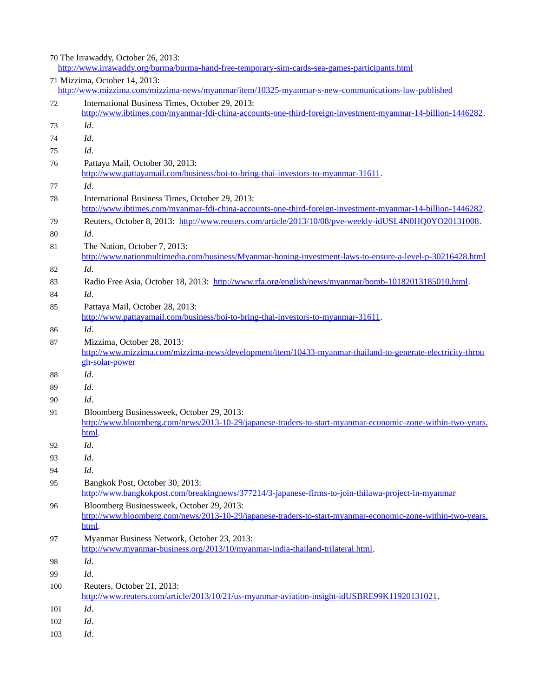The Irrawaddy, October 26, 2013:

<http://www.irrawaddy.org/burma/burma-hand-free-temporary-sim-cards-sea-games-participants.html> Mizzima, October 14, 2013: <http://www.mizzima.com/mizzima-news/myanmar/item/10325-myanmar-s-new-communications-law-published> International Business Times, October 29, 2013: [http://www.ibtimes.com/myanmar-fdi-china-accounts-one-third-foreign-investment-myanmar-14-billion-1446282.](http://www.ibtimes.com/myanmar-fdi-china-accounts-one-third-foreign-investment-myanmar-14-billion-1446282) *Id*. *Id*. *Id*. Pattaya Mail, October 30, 2013: [http://www.pattayamail.com/business/boi-to-bring-thai-investors-to-myanmar-31611.](http://www.pattayamail.com/business/boi-to-bring-thai-investors-to-myanmar-31611) *Id*. International Business Times, October 29, 2013: [http://www.ibtimes.com/myanmar-fdi-china-accounts-one-third-foreign-investment-myanmar-14-billion-1446282.](http://www.ibtimes.com/myanmar-fdi-china-accounts-one-third-foreign-investment-myanmar-14-billion-1446282) Reuters, October 8, 2013: [http://www.reuters.com/article/2013/10/08/pve-weekly-idUSL4N0HQ0YO20131008.](http://www.reuters.com/article/2013/10/08/pve-weekly-idUSL4N0HQ0YO20131008) *Id*. The Nation, October 7, 2013: <http://www.nationmultimedia.com/business/Myanmar-honing-investment-laws-to-ensure-a-level-p-30216428.html> *Id*. Radio Free Asia, October 18, 2013: [http://www.rfa.org/english/news/myanmar/bomb-10182013185010.html.](http://www.rfa.org/english/news/myanmar/bomb-10182013185010.html) *Id*. Pattaya Mail, October 28, 2013: [http://www.pattayamail.com/business/boi-to-bring-thai-investors-to-myanmar-31611.](http://www.pattayamail.com/business/boi-to-bring-thai-investors-to-myanmar-31611) *Id*. Mizzima, October 28, 2013: [http://www.mizzima.com/mizzima-news/development/item/10433-myanmar-thailand-to-generate-electricity-throu](http://www.mizzima.com/mizzima-news/development/item/10433-myanmar-thailand-to-generate-electricity-through-solar-power) [gh-solar-power](http://www.mizzima.com/mizzima-news/development/item/10433-myanmar-thailand-to-generate-electricity-through-solar-power) *Id*. *Id*. *Id*. Bloomberg Businessweek, October 29, 2013: [http://www.bloomberg.com/news/2013-10-29/japanese-traders-to-start-myanmar-economic-zone-within-two-years.](http://www.bloomberg.com/news/2013-10-29/japanese-traders-to-start-myanmar-economic-zone-within-two-years.html) [html.](http://www.bloomberg.com/news/2013-10-29/japanese-traders-to-start-myanmar-economic-zone-within-two-years.html) *Id*. *Id*. *Id*. Bangkok Post, October 30, 2013: <http://www.bangkokpost.com/breakingnews/377214/3-japanese-firms-to-join-thilawa-project-in-myanmar> Bloomberg Businessweek, October 29, 2013: [http://www.bloomberg.com/news/2013-10-29/japanese-traders-to-start-myanmar-economic-zone-within-two-years.](http://www.bloomberg.com/news/2013-10-29/japanese-traders-to-start-myanmar-economic-zone-within-two-years.html) [html.](http://www.bloomberg.com/news/2013-10-29/japanese-traders-to-start-myanmar-economic-zone-within-two-years.html) Myanmar Business Network, October 23, 2013: [http://www.myanmar-business.org/2013/10/myanmar-india-thailand-trilateral.html.](http://www.myanmar-business.org/2013/10/myanmar-india-thailand-trilateral.html)

- *Id*.
- *Id*.
- Reuters, October 21, 2013: [http://www.reuters.com/article/2013/10/21/us-myanmar-aviation-insight-idUSBRE99K11920131021.](http://www.reuters.com/article/2013/10/21/us-myanmar-aviation-insight-idUSBRE99K11920131021)
- *Id*.
- *Id*.
- *Id*.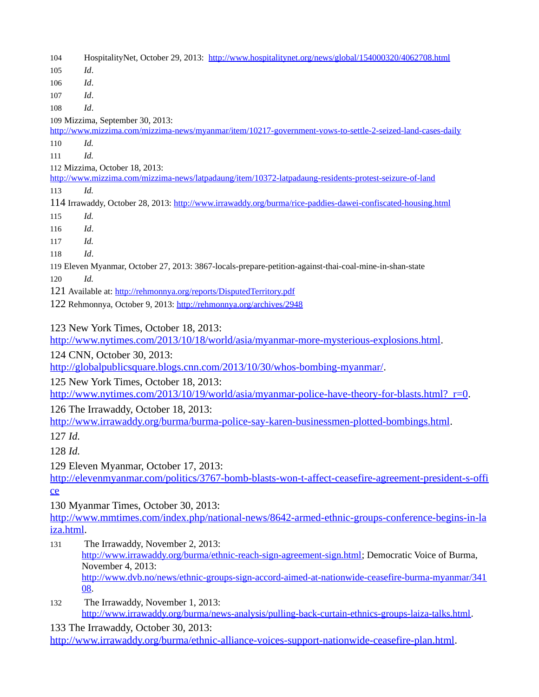HospitalityNet, October 29, 2013: <http://www.hospitalitynet.org/news/global/154000320/4062708.html> *Id*. *Id*. *Id*. *Id*. Mizzima, September 30, 2013: <http://www.mizzima.com/mizzima-news/myanmar/item/10217-government-vows-to-settle-2-seized-land-cases-daily> *Id. Id.*  Mizzima, October 18, 2013: <http://www.mizzima.com/mizzima-news/latpadaung/item/10372-latpadaung-residents-protest-seizure-of-land> *Id.*  114 Irrawaddy, October 28, 2013:<http://www.irrawaddy.org/burma/rice-paddies-dawei-confiscated-housing.html> *Id. Id*. *Id. Id*. Eleven Myanmar, October 27, 2013: 3867-locals-prepare-petition-against-thai-coal-mine-in-shan-state *Id.*  121 Available at:<http://rehmonnya.org/reports/DisputedTerritory.pdf> Rehmonnya, October 9, 2013:<http://rehmonnya.org/archives/2948> New York Times, October 18, 2013: [http://www.nytimes.com/2013/10/18/world/asia/myanmar-more-mysterious-explosions.html.](http://www.nytimes.com/2013/10/18/world/asia/myanmar-more-mysterious-explosions.html) CNN, October 30, 2013: [http://globalpublicsquare.blogs.cnn.com/2013/10/30/whos-bombing-myanmar/.](http://globalpublicsquare.blogs.cnn.com/2013/10/30/whos-bombing-myanmar/) New York Times, October 18, 2013: http://www.nytimes.com/2013/10/19/world/asia/myanmar-police-have-theory-for-blasts.html? r=0. The Irrawaddy, October 18, 2013: [http://www.irrawaddy.org/burma/burma-police-say-karen-businessmen-plotted-bombings.html.](http://www.irrawaddy.org/burma/burma-police-say-karen-businessmen-plotted-bombings.html) *Id. Id.* Eleven Myanmar, October 17, 2013: [http://elevenmyanmar.com/politics/3767-bomb-blasts-won-t-affect-ceasefire-agreement-president-s-offi](http://elevenmyanmar.com/politics/3767-bomb-blasts-won-t-affect-ceasefire-agreement-president-s-office) [ce](http://elevenmyanmar.com/politics/3767-bomb-blasts-won-t-affect-ceasefire-agreement-president-s-office) Myanmar Times, October 30, 2013: [http://www.mmtimes.com/index.php/national-news/8642-armed-ethnic-groups-conference-begins-in-la](http://www.mmtimes.com/index.php/national-news/8642-armed-ethnic-groups-conference-begins-in-laiza.html) [iza.html.](http://www.mmtimes.com/index.php/national-news/8642-armed-ethnic-groups-conference-begins-in-laiza.html) The Irrawaddy, November 2, 2013: [http://www.irrawaddy.org/burma/ethnic-reach-sign-agreement-sign.html;](http://www.irrawaddy.org/burma/ethnic-reach-sign-agreement-sign.html) Democratic Voice of Burma, November 4, 2013: [http://www.dvb.no/news/ethnic-groups-sign-accord-aimed-at-nationwide-ceasefire-burma-myanmar/341](http://www.dvb.no/news/ethnic-groups-sign-accord-aimed-at-nationwide-ceasefire-burma-myanmar/34108) [08.](http://www.dvb.no/news/ethnic-groups-sign-accord-aimed-at-nationwide-ceasefire-burma-myanmar/34108) The Irrawaddy, November 1, 2013: [http://www.irrawaddy.org/burma/news-analysis/pulling-back-curtain-ethnics-groups-laiza-talks.html.](http://www.irrawaddy.org/burma/news-analysis/pulling-back-curtain-ethnics-groups-laiza-talks.html)

The Irrawaddy, October 30, 2013:

[http://www.irrawaddy.org/burma/ethnic-alliance-voices-support-nationwide-ceasefire-plan.html.](http://www.irrawaddy.org/burma/ethnic-alliance-voices-support-nationwide-ceasefire-plan.html)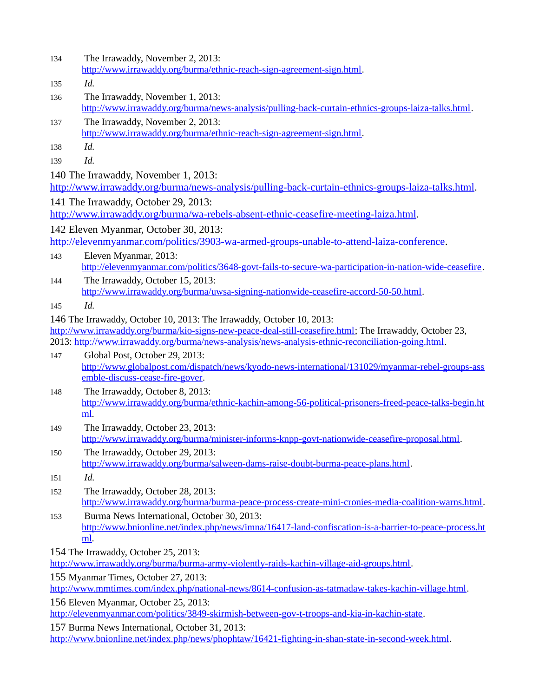- 134 The Irrawaddy, November 2, 2013: [http://www.irrawaddy.org/burma/ethnic-reach-sign-agreement-sign.html.](http://www.irrawaddy.org/burma/ethnic-reach-sign-agreement-sign.html)
- 135 *Id.*
- 136 The Irrawaddy, November 1, 2013: [http://www.irrawaddy.org/burma/news-analysis/pulling-back-curtain-ethnics-groups-laiza-talks.html.](http://www.irrawaddy.org/burma/news-analysis/pulling-back-curtain-ethnics-groups-laiza-talks.html)
- 137 The Irrawaddy, November 2, 2013: [http://www.irrawaddy.org/burma/ethnic-reach-sign-agreement-sign.html.](http://www.irrawaddy.org/burma/ethnic-reach-sign-agreement-sign.html)
- 138 *Id.*
- 139 *Id.*
- 140 The Irrawaddy, November 1, 2013:

[http://www.irrawaddy.org/burma/news-analysis/pulling-back-curtain-ethnics-groups-laiza-talks.html.](http://www.irrawaddy.org/burma/news-analysis/pulling-back-curtain-ethnics-groups-laiza-talks.html)

141 The Irrawaddy, October 29, 2013:

[http://www.irrawaddy.org/burma/wa-rebels-absent-ethnic-ceasefire-meeting-laiza.html.](http://www.irrawaddy.org/burma/wa-rebels-absent-ethnic-ceasefire-meeting-laiza.html)

142 Eleven Myanmar, October 30, 2013:

[http://elevenmyanmar.com/politics/3903-wa-armed-groups-unable-to-attend-laiza-conference.](http://elevenmyanmar.com/politics/3903-wa-armed-groups-unable-to-attend-laiza-conference)

- 143 Eleven Myanmar, 2013: [http://elevenmyanmar.com/politics/3648-govt-fails-to-secure-wa-participation-in-nation-wide-ceasefire.](http://elevenmyanmar.com/politics/3648-govt-fails-to-secure-wa-participation-in-nation-wide-ceasefire)
- 144 The Irrawaddy, October 15, 2013: [http://www.irrawaddy.org/burma/uwsa-signing-nationwide-ceasefire-accord-50-50.html.](http://www.irrawaddy.org/burma/uwsa-signing-nationwide-ceasefire-accord-50-50.html)
- 145 *Id.*
- 146 The Irrawaddy, October 10, 2013: The Irrawaddy, October 10, 2013:

[http://www.irrawaddy.org/burma/kio-signs-new-peace-deal-still-ceasefire.html;](http://www.irrawaddy.org/burma/kio-signs-new-peace-deal-still-ceasefire.html) The Irrawaddy, October 23, 2013: [http://www.irrawaddy.org/burma/news-analysis/news-analysis-ethnic-reconciliation-going.html.](http://www.irrawaddy.org/burma/news-analysis/news-analysis-ethnic-reconciliation-going.html)

- 147 Global Post, October 29, 2013: [http://www.globalpost.com/dispatch/news/kyodo-news-international/131029/myanmar-rebel-groups-ass](http://www.globalpost.com/dispatch/news/kyodo-news-international/131029/myanmar-rebel-groups-assemble-discuss-cease-fire-gover) [emble-discuss-cease-fire-gover.](http://www.globalpost.com/dispatch/news/kyodo-news-international/131029/myanmar-rebel-groups-assemble-discuss-cease-fire-gover)
- 148 The Irrawaddy, October 8, 2013: [http://www.irrawaddy.org/burma/ethnic-kachin-among-56-political-prisoners-freed-peace-talks-begin.ht](http://www.irrawaddy.org/burma/ethnic-kachin-among-56-political-prisoners-freed-peace-talks-begin.html) [ml.](http://www.irrawaddy.org/burma/ethnic-kachin-among-56-political-prisoners-freed-peace-talks-begin.html)
- 149 The Irrawaddy, October 23, 2013: [http://www.irrawaddy.org/burma/minister-informs-knpp-govt-nationwide-ceasefire-proposal.html.](http://www.irrawaddy.org/burma/minister-informs-knpp-govt-nationwide-ceasefire-proposal.html)
- 150 The Irrawaddy, October 29, 2013: [http://www.irrawaddy.org/burma/salween-dams-raise-doubt-burma-peace-plans.html.](http://www.irrawaddy.org/burma/salween-dams-raise-doubt-burma-peace-plans.html)
- 151 *Id.*
- 152 The Irrawaddy, October 28, 2013: [http://www.irrawaddy.org/burma/burma-peace-process-create-mini-cronies-media-coalition-warns.html.](http://www.irrawaddy.org/burma/burma-peace-process-create-mini-cronies-media-coalition-warns.html)
- 153 Burma News International, October 30, 2013: [http://www.bnionline.net/index.php/news/imna/16417-land-confiscation-is-a-barrier-to-peace-process.ht](http://www.bnionline.net/index.php/news/imna/16417-land-confiscation-is-a-barrier-to-peace-process.html) [ml.](http://www.bnionline.net/index.php/news/imna/16417-land-confiscation-is-a-barrier-to-peace-process.html)
- 154 The Irrawaddy, October 25, 2013:

[http://www.irrawaddy.org/burma/burma-army-violently-raids-kachin-village-aid-groups.html.](http://www.irrawaddy.org/burma/burma-army-violently-raids-kachin-village-aid-groups.html)

155 Myanmar Times, October 27, 2013:

[http://www.mmtimes.com/index.php/national-news/8614-confusion-as-tatmadaw-takes-kachin-village.html.](http://www.mmtimes.com/index.php/national-news/8614-confusion-as-tatmadaw-takes-kachin-village.html)

156 Eleven Myanmar, October 25, 2013:

[http://elevenmyanmar.com/politics/3849-skirmish-between-gov-t-troops-and-kia-in-kachin-state.](http://elevenmyanmar.com/politics/3849-skirmish-between-gov-t-troops-and-kia-in-kachin-state)

157 Burma News International, October 31, 2013:

[http://www.bnionline.net/index.php/news/phophtaw/16421-fighting-in-shan-state-in-second-week.html.](http://www.bnionline.net/index.php/news/phophtaw/16421-fighting-in-shan-state-in-second-week.html)